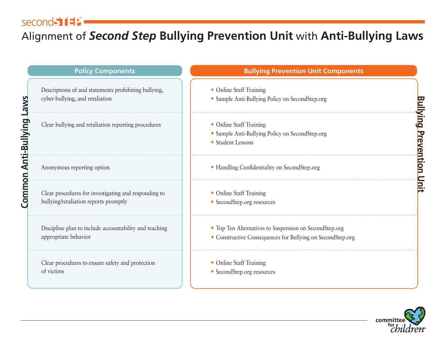## second 51

## Alignment of *Second Step* **Bullying Prevention Unit** with **Anti-Bullying Laws**

|                           | <b>Policy Components</b>                                                                      | <b>Bullying Prevention Unit Components</b>                                                                           |                        |
|---------------------------|-----------------------------------------------------------------------------------------------|----------------------------------------------------------------------------------------------------------------------|------------------------|
|                           | Descriptions of and statements prohibiting bullying,<br>cyber-bullying, and retaliation       | • Online Staff Training<br>• Sample Anti-Bullying Policy on SecondStep.org                                           |                        |
| <b>Anti-Bullying Laws</b> | Clear bullying and retaliation reporting procedures                                           | • Online Staff Training<br>• Sample Anti-Bullying Policy on SecondStep.org<br>• Student Lessons                      | <u>Bullying</u>        |
|                           | Anonymous reporting option                                                                    | · Handling Confidentiality on SecondStep.org                                                                         | <b>Prevention Unit</b> |
| Common                    | Clear procedures for investigating and responding to<br>bullying/retaliation reports promptly | • Online Staff Training<br>• SecondStep.org resources                                                                |                        |
|                           | Discipline plan to include accountability and teaching<br>appropriate behavior                | • Top Ten Alternatives to Suspension on SecondStep.org<br>• Constructive Consequences for Bullying on SecondStep.org |                        |
|                           | Clear procedures to ensure safety and protection<br>of victims                                | • Online Staff Training<br>• SecondStep.org resources                                                                |                        |

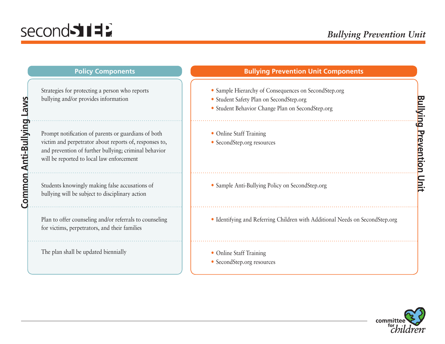| <b>Policy Components</b>                                                                                                                                                                                            | <b>Bullying Prevention Unit Components</b>                                                                                                          |                            |
|---------------------------------------------------------------------------------------------------------------------------------------------------------------------------------------------------------------------|-----------------------------------------------------------------------------------------------------------------------------------------------------|----------------------------|
| Strategies for protecting a person who reports<br>bullying and/or provides information                                                                                                                              | • Sample Hierarchy of Consequences on SecondStep.org<br>· Student Safety Plan on SecondStep.org<br>· Student Behavior Change Plan on SecondStep.org |                            |
| Prompt notification of parents or guardians of both<br>victim and perpetrator about reports of, responses to,<br>and prevention of further bullying; criminal behavior<br>will be reported to local law enforcement | • Online Staff Training<br>• SecondStep.org resources                                                                                               | <b>Tourk</b><br>Prevention |
| Students knowingly making false accusations of<br>bullying will be subject to disciplinary action                                                                                                                   | • Sample Anti-Bullying Policy on SecondStep.org                                                                                                     |                            |
| Plan to offer counseling and/or referrals to counseling<br>for victims, perpetrators, and their families                                                                                                            | • Identifying and Referring Children with Additional Needs on SecondStep.org                                                                        |                            |
| The plan shall be updated biennially                                                                                                                                                                                | • Online Staff Training<br>• SecondStep.org resources                                                                                               |                            |

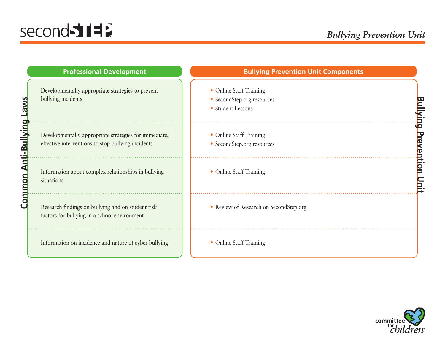**Common Anti-Bullying Laws**

| <b>Professional Development</b>                                                                             | <b>Bullying Prevention Unit Components</b>                                 |             |
|-------------------------------------------------------------------------------------------------------------|----------------------------------------------------------------------------|-------------|
| Developmentally appropriate strategies to prevent<br>bullying incidents                                     | • Online Staff Training<br>• SecondStep.org resources<br>• Student Lessons | <b>Pull</b> |
| Developmentally appropriate strategies for immediate,<br>effective interventions to stop bullying incidents | • Online Staff Training<br>• SecondStep.org resources                      | Preven      |
| Information about complex relationships in bullying<br>situations                                           | • Online Staff Training                                                    |             |
| Research findings on bullying and on student risk<br>factors for bullying in a school environment           | • Review of Research on SecondStep.org                                     |             |
| Information on incidence and nature of cyber-bullying                                                       | • Online Staff Training                                                    |             |

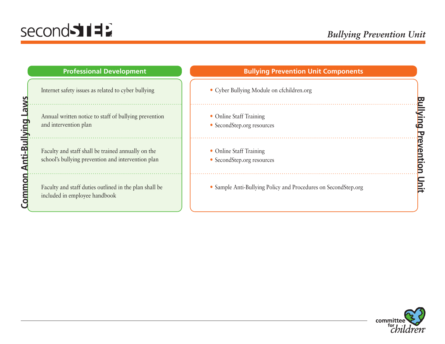## second 5117

**Common Anti-Bullying Laws**

| <b>Professional Development</b>                                                                          | <b>Bullying Prevention Unit Components</b>                     |  |
|----------------------------------------------------------------------------------------------------------|----------------------------------------------------------------|--|
| Internet safety issues as related to cyber bullying                                                      | • Cyber Bullying Module on cfchildren.org                      |  |
| Annual written notice to staff of bullying prevention<br>and intervention plan                           | • Online Staff Training<br>• SecondStep.org resources          |  |
| Faculty and staff shall be trained annually on the<br>school's bullying prevention and intervention plan | • Online Staff Training<br>• SecondStep.org resources          |  |
| Faculty and staff duties outlined in the plan shall be<br>included in employee handbook                  | • Sample Anti-Bullying Policy and Procedures on SecondStep.org |  |

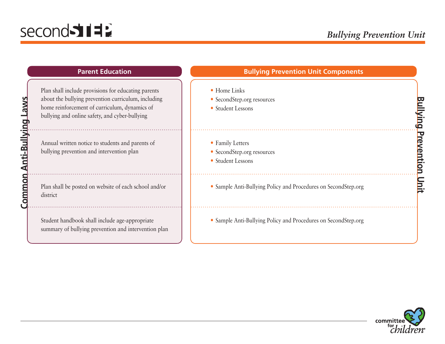**Common Anti-Bullying Laws**

 $\ldots$  .

| <b>Parent Education</b>                                                                                                                                                                                       | <b>Bullying Prevention Unit Components</b>                          |                        |
|---------------------------------------------------------------------------------------------------------------------------------------------------------------------------------------------------------------|---------------------------------------------------------------------|------------------------|
| Plan shall include provisions for educating parents<br>about the bullying prevention curriculum, including<br>home reinforcement of curriculum, dynamics of<br>bullying and online safety, and cyber-bullying | • Home Links<br>• SecondStep.org resources<br>• Student Lessons     | Þ<br>$\mathbf{\Omega}$ |
| Annual written notice to students and parents of<br>bullying prevention and intervention plan                                                                                                                 | • Family Letters<br>• SecondStep.org resources<br>• Student Lessons |                        |
| Plan shall be posted on website of each school and/or<br>district                                                                                                                                             | • Sample Anti-Bullying Policy and Procedures on SecondStep.org      |                        |
| Student handbook shall include age-appropriate<br>summary of bullying prevention and intervention plan                                                                                                        | • Sample Anti-Bullying Policy and Procedures on SecondStep.org      |                        |